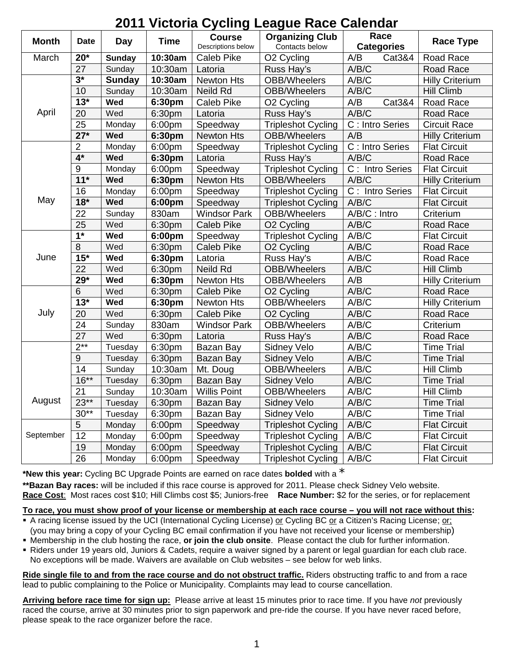| LUTT VIUWIN OYUMIY LUAYUU RAUU UAIUNUAT |                   |               |                    |                                     |                                          |                               |                        |
|-----------------------------------------|-------------------|---------------|--------------------|-------------------------------------|------------------------------------------|-------------------------------|------------------------|
| <b>Month</b>                            | <b>Date</b>       | Day           | <b>Time</b>        | <b>Course</b><br>Descriptions below | <b>Organizing Club</b><br>Contacts below | Race<br><b>Categories</b>     | <b>Race Type</b>       |
| March                                   | $20*$             | <b>Sunday</b> | 10:30am            | <b>Caleb Pike</b>                   | O <sub>2</sub> Cycling                   | A/B<br>Cat3&4                 | Road Race              |
|                                         | 27                | Sunday        | 10:30am            | Latoria                             | Russ Hay's                               | A/B/C                         | Road Race              |
| April                                   | $3*$              | <b>Sunday</b> | 10:30am            | <b>Newton Hts</b>                   | OBB/Wheelers                             | A/B/C                         | <b>Hilly Criterium</b> |
|                                         | 10                | Sunday        | 10:30am            | Neild Rd                            | <b>OBB/Wheelers</b>                      | A/B/C                         | <b>Hill Climb</b>      |
|                                         | $13*$             | Wed           | 6:30pm             | Caleb Pike                          | O <sub>2</sub> Cycling                   | A/B<br>Cat3&4                 | Road Race              |
|                                         | 20                | Wed           | 6:30pm             | Latoria                             | Russ Hay's                               | A/B/C                         | Road Race              |
|                                         | 25                | Monday        | 6:00pm             | Speedway                            | <b>Tripleshot Cycling</b>                | C : Intro Series              | Circuit Race           |
|                                         | $\overline{27^*}$ | Wed           | 6:30pm             | <b>Newton Hts</b>                   | <b>OBB/Wheelers</b>                      | A/B                           | <b>Hilly Criterium</b> |
| May                                     | $\overline{2}$    | Monday        | 6:00pm             | Speedway                            | <b>Tripleshot Cycling</b>                | C : Intro Series              | <b>Flat Circuit</b>    |
|                                         | $4*$              | Wed           | 6:30pm             | Latoria                             | Russ Hay's                               | A/B/C                         | Road Race              |
|                                         | 9                 | Monday        | 6:00pm             | Speedway                            | <b>Tripleshot Cycling</b>                | C: Intro Series               | <b>Flat Circuit</b>    |
|                                         | $11*$             | Wed           | 6:30pm             | Newton Hts                          | <b>OBB/Wheelers</b>                      | A/B/C                         | <b>Hilly Criterium</b> |
|                                         | 16                | Monday        | 6:00pm             | Speedway                            | <b>Tripleshot Cycling</b>                | $\overline{C}$ : Intro Series | <b>Flat Circuit</b>    |
|                                         | $18*$             | Wed           | 6:00pm             | Speedway                            | <b>Tripleshot Cycling</b>                | A/B/C                         | <b>Flat Circuit</b>    |
|                                         | 22                | Sunday        | 830am              | <b>Windsor Park</b>                 | <b>OBB/Wheelers</b>                      | A/B/C: Intro                  | Criterium              |
|                                         | 25                | Wed           | 6:30pm             | <b>Caleb Pike</b>                   | O <sub>2</sub> Cycling                   | A/B/C                         | Road Race              |
| June                                    | $\overline{1^*}$  | Wed           | 6:00pm             | Speedway                            | <b>Tripleshot Cycling</b>                | A/B/C                         | <b>Flat Circuit</b>    |
|                                         | 8                 | Wed           | 6:30pm             | <b>Caleb Pike</b>                   | O <sub>2</sub> Cycling                   | A/B/C                         | Road Race              |
|                                         | $15*$             | Wed           | 6:30pm             | Latoria                             | Russ Hay's                               | A/B/C                         | Road Race              |
|                                         | 22                | Wed           | 6:30pm             | Neild Rd                            | <b>OBB/Wheelers</b>                      | A/B/C                         | <b>Hill Climb</b>      |
|                                         | $29*$             | Wed           | 6:30pm             | <b>Newton Hts</b>                   | <b>OBB/Wheelers</b>                      | A/B                           | <b>Hilly Criterium</b> |
| July                                    | 6                 | Wed           | 6:30pm             | <b>Caleb Pike</b>                   | O <sub>2</sub> Cycling                   | A/B/C                         | Road Race              |
|                                         | $13*$             | Wed           | 6:30pm             | <b>Newton Hts</b>                   | <b>OBB/Wheelers</b>                      | A/B/C                         | <b>Hilly Criterium</b> |
|                                         | 20                | Wed           | 6:30pm             | <b>Caleb Pike</b>                   | O <sub>2</sub> Cycling                   | A/B/C                         | Road Race              |
|                                         | 24                | Sunday        | 830am              | <b>Windsor Park</b>                 | <b>OBB/Wheelers</b>                      | A/B/C                         | Criterium              |
|                                         | $\overline{27}$   | Wed           | 6:30pm             | Latoria                             | Russ Hay's                               | A/B/C                         | Road Race              |
|                                         | $2***$            | Tuesday       | 6:30pm             | Bazan Bay                           | Sidney Velo                              | A/B/C                         | <b>Time Trial</b>      |
|                                         | $\overline{9}$    | Tuesday       | 6:30pm             | Bazan Bay                           | Sidney Velo                              | A/B/C                         | <b>Time Trial</b>      |
|                                         | 14                | Sunday        | 10:30am            | Mt. Doug                            | <b>OBB/Wheelers</b>                      | A/B/C                         | Hill Climb             |
|                                         | $16***$           | Tuesday       | 6:30pm             | Bazan Bay                           | <b>Sidney Velo</b>                       | A/B/C                         | <b>Time Trial</b>      |
| August                                  | 21                | Sunday        | 10:30am            | <b>Willis Point</b>                 | OBB/Wheelers                             | A/B/C                         | Hill Climb             |
|                                         | $23**$            | Tuesday       | 6:30pm             | Bazan Bay                           | Sidney Velo                              | A/B/C                         | <b>Time Trial</b>      |
|                                         | $30**$            | Tuesday       | 6:30 <sub>pm</sub> | Bazan Bay                           | Sidney Velo                              | A/B/C                         | <b>Time Trial</b>      |
| September                               | 5                 | Monday        | 6:00pm             | Speedway                            | <b>Tripleshot Cycling</b>                | A/B/C                         | <b>Flat Circuit</b>    |
|                                         | 12                | Monday        | 6:00pm             | Speedway                            | <b>Tripleshot Cycling</b>                | A/B/C                         | <b>Flat Circuit</b>    |
|                                         | 19                | Monday        | 6:00pm             | Speedway                            | <b>Tripleshot Cycling</b>                | A/B/C                         | <b>Flat Circuit</b>    |
|                                         | $\overline{26}$   | Monday        | 6:00pm             | Speedway                            | <b>Tripleshot Cycling</b>                | A/B/C                         | <b>Flat Circuit</b>    |

# **2011 Victoria Cycling League Race Calendar**

**\*New this year:** Cycling BC Upgrade Points are earned on race dates **bolded** with a \*

**\*\*Bazan Bay races:** will be included if this race course is approved for 2011. Please check Sidney Velo website. **Race Cost**: Most races cost \$10; Hill Climbs cost \$5; Juniors-free **Race Number:** \$2 for the series, or for replacement

**To race, you must show proof of your license or membership at each race course – you will not race without this:**

- A racing license issued by the UCI (International Cycling License) or Cycling BC or a Citizen's Racing License; or; (you may bring a copy of your Cycling BC email confirmation if you have not received your license or membership)
- Membership in the club hosting the race, **or join the club onsite**. Please contact the club for further information.
- Riders under 19 years old, Juniors & Cadets, require a waiver signed by a parent or legal guardian for each club race. No exceptions will be made. Waivers are available on Club websites – see below for web links.

**Ride single file to and from the race course and do not obstruct traffic.** Riders obstructing traffic to and from a race lead to public complaining to the Police or Municipality. Complaints may lead to course cancellation.

**Arriving before race time for sign up:** Please arrive at least 15 minutes prior to race time. If you have *not* previously raced the course, arrive at 30 minutes prior to sign paperwork and pre-ride the course. If you have never raced before, please speak to the race organizer before the race.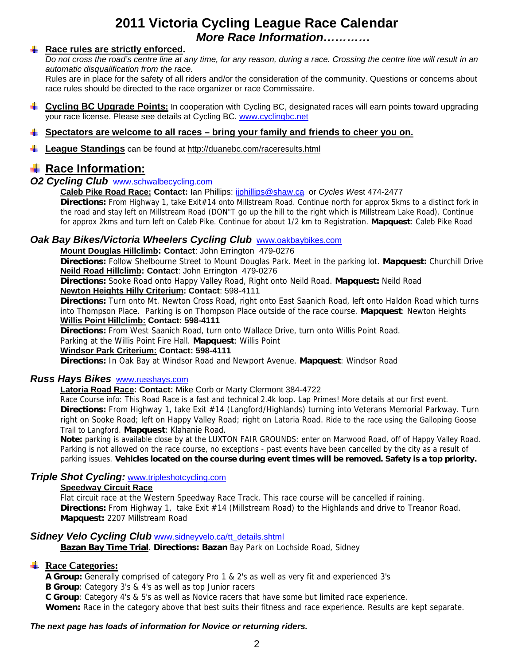# **2011 Victoria Cycling League Race Calendar** *More Race Information…………*

### **E** Race rules are strictly enforced.

*Do not cross the road's centre line at any time, for any reason, during a race. Crossing the centre line will result in an automatic disqualification from the race.*

Rules are in place for the safety of all riders and/or the consideration of the community. Questions or concerns about race rules should be directed to the race organizer or race Commissaire.

**Cycling BC Upgrade Points:** In cooperation with Cycling BC, designated races will earn points toward upgrading your race license. Please see details at Cycling BC. www.cyclingbc.net

### **Spectators are welcome to all races – bring your family and friends to cheer you on.**

**League Standings** can be found at http://duanebc.com/raceresults.html

# **Race Information:**

# *O2 Cycling Club* www.schwalbecycling.com

#### **Caleb Pike Road Race: Contact:** Ian Phillips: ijphillips@shaw.ca or *Cycles We*st 474-2477

**Directions:** From Highway 1, take Exit#14 onto Millstream Road. Continue north for approx 5kms to a distinct fork in the road and stay left on Millstream Road (DON"T go up the hill to the right which is Millstream Lake Road). Continue for approx 2kms and turn left on Caleb Pike. Continue for about 1/2 km to Registration. **Mapquest**: Caleb Pike Road

# *Oak Bay Bikes/Victoria Wheelers Cycling Club* www.oakbaybikes.com

#### **Mount Douglas Hillclimb: Contact**: John Errington 479-0276

**Directions:** Follow Shelbourne Street to Mount Douglas Park. Meet in the parking lot. **Mapquest:** Churchill Drive **Neild Road Hillclimb: Contact**: John Errington 479-0276

**Directions:** Sooke Road onto Happy Valley Road, Right onto Neild Road. **Mapquest:** Neild Road **Newton Heights Hilly Criterium: Contact**: 598-4111

**Directions:** Turn onto Mt. Newton Cross Road, right onto East Saanich Road, left onto Haldon Road which turns into Thompson Place. Parking is on Thompson Place outside of the race course. **Mapquest**: Newton Heights **Willis Point Hillclimb: Contact: 598-4111**

**Directions:** From West Saanich Road, turn onto Wallace Drive, turn onto Willis Point Road.

Parking at the Willis Point Fire Hall. **Mapquest**: Willis Point

#### **Windsor Park Criterium: Contact: 598-4111**

**Directions:** In Oak Bay at Windsor Road and Newport Avenue. **Mapquest**: Windsor Road

#### *Russ Hays Bikes* www.russhays.com

### **Latoria Road Race: Contact:** Mike Corb or Marty Clermont 384-4722

Race Course info: This Road Race is a fast and technical 2.4k loop. Lap Primes! More details at our first event. **Directions:** From Highway 1, take Exit #14 (Langford/Highlands) turning into Veterans Memorial Parkway. Turn right on Sooke Road; left on Happy Valley Road; right on Latoria Road. Ride to the race using the Galloping Goose Trail to Langford. **Mapquest**: Klahanie Road.

**Note:** parking is available close by at the LUXTON FAIR GROUNDS: enter on Marwood Road, off of Happy Valley Road. Parking is not allowed on the race course, no exceptions - past events have been cancelled by the city as a result of parking issues. **Vehicles located on the course during event times will be removed. Safety is a top priority.**

### *Triple Shot Cycling:* www.tripleshotcycling.com

### **Speedway Circuit Race**

Flat circuit race at the Western Speedway Race Track. This race course will be cancelled if raining. **Directions:** From Highway 1,take Exit #14 (Millstream Road) to the Highlands and drive to Treanor Road. **Mapquest:** 2207 Millstream Road

#### **Sidney Velo Cycling Club** www.sidneyvelo.ca/tt\_details.shtml

**Bazan Bay Time Trial**. **Directions: Bazan** Bay Park on Lochside Road, Sidney

# **Race Categories:**

**A Group:** Generally comprised of category Pro 1 & 2's as well as very fit and experienced 3's

**B Group**: Category 3's & 4's as well as top Junior racers

**C Group**: Category 4's & 5's as well as Novice racers that have some but limited race experience.

**Women:** Race in the category above that best suits their fitness and race experience. Results are kept separate.

#### *The next page has loads of information for Novice or returning riders.*